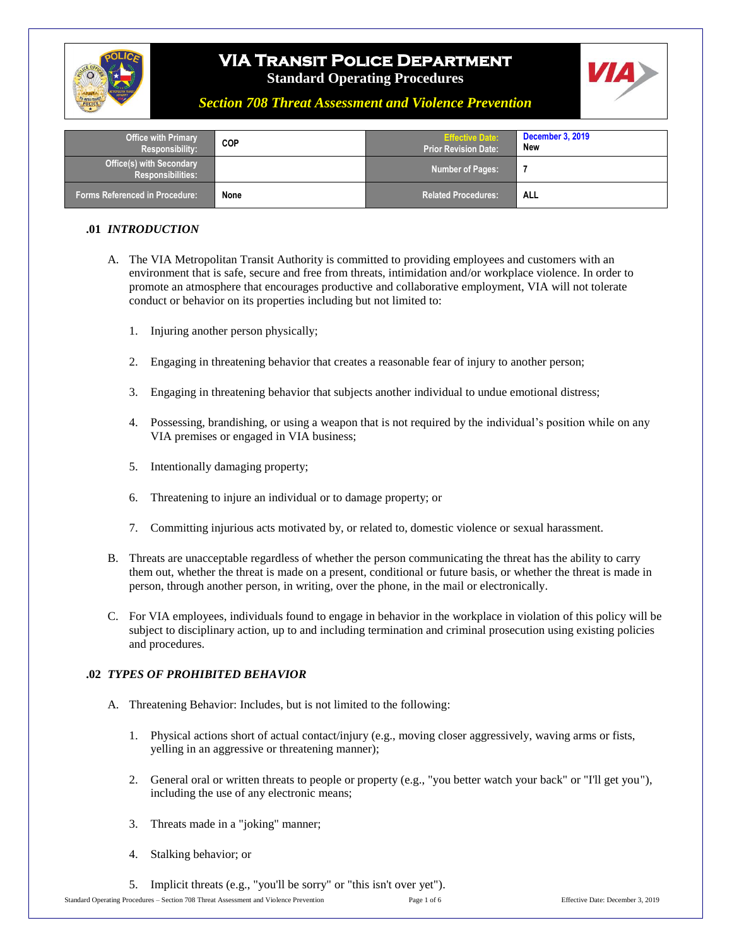



### *Section 708 Threat Assessment and Violence Prevention*

| <b>Office with Primary</b><br><b>Responsibility:</b>        | <b>COP</b> | <b>Effective Date:</b><br><b>Prior Revision Date:</b> | <b>December 3, 2019</b><br>New |
|-------------------------------------------------------------|------------|-------------------------------------------------------|--------------------------------|
| <b>Office(s) with Secondary</b><br><b>Responsibilities:</b> |            | Number of Pages:                                      |                                |
| <b>Forms Referenced in Procedure:</b>                       | None       | <b>Related Procedures:</b>                            | ALL                            |

#### **.01** *INTRODUCTION*

- A. The VIA Metropolitan Transit Authority is committed to providing employees and customers with an environment that is safe, secure and free from threats, intimidation and/or workplace violence. In order to promote an atmosphere that encourages productive and collaborative employment, VIA will not tolerate conduct or behavior on its properties including but not limited to:
	- 1. Injuring another person physically;
	- 2. Engaging in threatening behavior that creates a reasonable fear of injury to another person;
	- 3. Engaging in threatening behavior that subjects another individual to undue emotional distress;
	- 4. Possessing, brandishing, or using a weapon that is not required by the individual's position while on any VIA premises or engaged in VIA business;
	- 5. Intentionally damaging property;
	- 6. Threatening to injure an individual or to damage property; or
	- 7. Committing injurious acts motivated by, or related to, domestic violence or sexual harassment.
- B. Threats are unacceptable regardless of whether the person communicating the threat has the ability to carry them out, whether the threat is made on a present, conditional or future basis, or whether the threat is made in person, through another person, in writing, over the phone, in the mail or electronically.
- C. For VIA employees, individuals found to engage in behavior in the workplace in violation of this policy will be subject to disciplinary action, up to and including termination and criminal prosecution using existing policies and procedures.

#### **.02** *TYPES OF PROHIBITED BEHAVIOR*

- A. Threatening Behavior: Includes, but is not limited to the following:
	- 1. Physical actions short of actual contact/injury (e.g., moving closer aggressively, waving arms or fists, yelling in an aggressive or threatening manner);
	- 2. General oral or written threats to people or property (e.g., "you better watch your back" or "I'll get you"), including the use of any electronic means;
	- 3. Threats made in a "joking" manner;
	- 4. Stalking behavior; or
	- 5. Implicit threats (e.g., "you'll be sorry" or "this isn't over yet").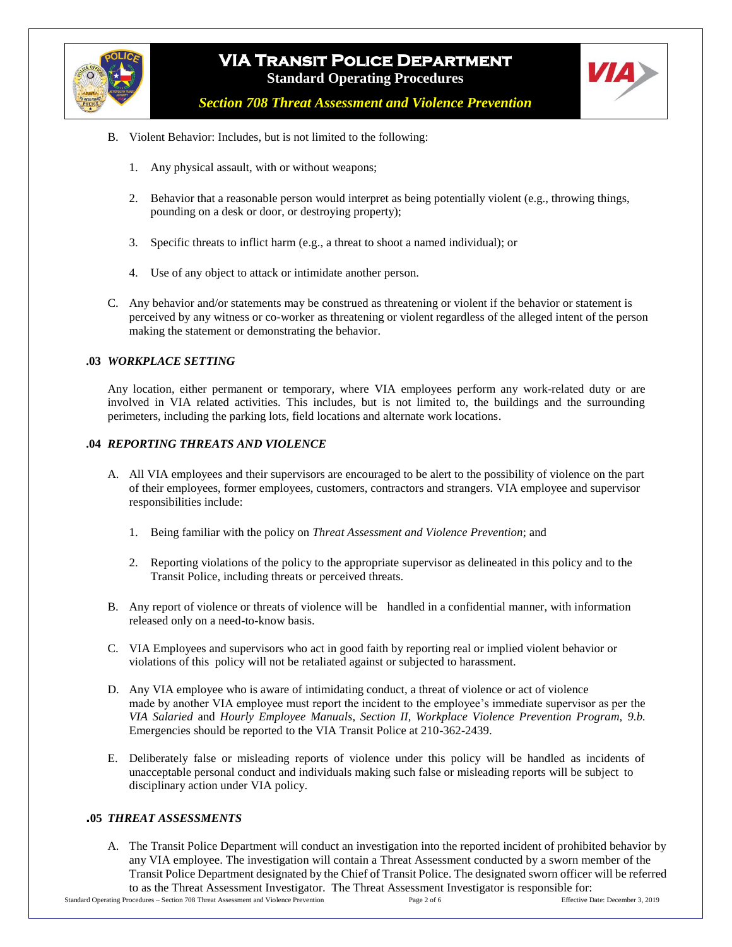



*Section 708 Threat Assessment and Violence Prevention*

- B. Violent Behavior: Includes, but is not limited to the following:
	- 1. Any physical assault, with or without weapons;
	- 2. Behavior that a reasonable person would interpret as being potentially violent (e.g., throwing things, pounding on a desk or door, or destroying property);
	- 3. Specific threats to inflict harm (e.g., a threat to shoot a named individual); or
	- 4. Use of any object to attack or intimidate another person.
- C. Any behavior and/or statements may be construed as threatening or violent if the behavior or statement is perceived by any witness or co-worker as threatening or violent regardless of the alleged intent of the person making the statement or demonstrating the behavior.

#### **.03** *WORKPLACE SETTING*

Any location, either permanent or temporary, where VIA employees perform any work-related duty or are involved in VIA related activities. This includes, but is not limited to, the buildings and the surrounding perimeters, including the parking lots, field locations and alternate work locations.

#### **.04** *REPORTING THREATS AND VIOLENCE*

- A. All VIA employees and their supervisors are encouraged to be alert to the possibility of violence on the part of their employees, former employees, customers, contractors and strangers. VIA employee and supervisor responsibilities include:
	- 1. Being familiar with the policy on *Threat Assessment and Violence Prevention*; and
	- 2. Reporting violations of the policy to the appropriate supervisor as delineated in this policy and to the Transit Police, including threats or perceived threats.
- B. Any report of violence or threats of violence will be handled in a confidential manner, with information released only on a need-to-know basis.
- C. VIA Employees and supervisors who act in good faith by reporting real or implied violent behavior or violations of this policy will not be retaliated against or subjected to harassment.
- D. Any VIA employee who is aware of intimidating conduct, a threat of violence or act of violence made by another VIA employee must report the incident to the employee's immediate supervisor as per the *VIA Salaried* and *Hourly Employee Manuals, Section II, Workplace Violence Prevention Program, 9.b.* Emergencies should be reported to the VIA Transit Police at 210-362-2439.
- E. Deliberately false or misleading reports of violence under this policy will be handled as incidents of unacceptable personal conduct and individuals making such false or misleading reports will be subject to disciplinary action under VIA policy.

### **.05** *THREAT ASSESSMENTS*

A. The Transit Police Department will conduct an investigation into the reported incident of prohibited behavior by any VIA employee. The investigation will contain a Threat Assessment conducted by a sworn member of the Transit Police Department designated by the Chief of Transit Police. The designated sworn officer will be referred to as the Threat Assessment Investigator. The Threat Assessment Investigator is responsible for: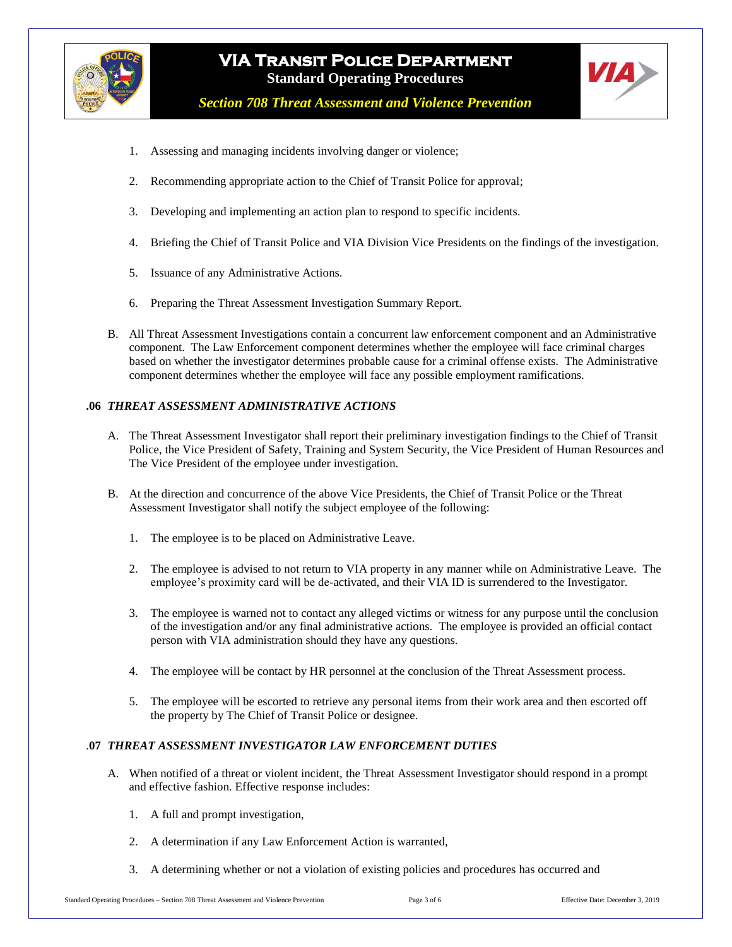



*Section 708 Threat Assessment and Violence Prevention*

- 1. Assessing and managing incidents involving danger or violence;
- 2. Recommending appropriate action to the Chief of Transit Police for approval;
- 3. Developing and implementing an action plan to respond to specific incidents.
- 4. Briefing the Chief of Transit Police and VIA Division Vice Presidents on the findings of the investigation.
- 5. Issuance of any Administrative Actions.
- 6. Preparing the Threat Assessment Investigation Summary Report.
- B. All Threat Assessment Investigations contain a concurrent law enforcement component and an Administrative component. The Law Enforcement component determines whether the employee will face criminal charges based on whether the investigator determines probable cause for a criminal offense exists. The Administrative component determines whether the employee will face any possible employment ramifications.

### **.06** *THREAT ASSESSMENT ADMINISTRATIVE ACTIONS*

- A. The Threat Assessment Investigator shall report their preliminary investigation findings to the Chief of Transit Police, the Vice President of Safety, Training and System Security, the Vice President of Human Resources and The Vice President of the employee under investigation.
- B. At the direction and concurrence of the above Vice Presidents, the Chief of Transit Police or the Threat Assessment Investigator shall notify the subject employee of the following:
	- 1. The employee is to be placed on Administrative Leave.
	- 2. The employee is advised to not return to VIA property in any manner while on Administrative Leave. The employee's proximity card will be de-activated, and their VIA ID is surrendered to the Investigator.
	- 3. The employee is warned not to contact any alleged victims or witness for any purpose until the conclusion of the investigation and/or any final administrative actions. The employee is provided an official contact person with VIA administration should they have any questions.
	- 4. The employee will be contact by HR personnel at the conclusion of the Threat Assessment process.
	- 5. The employee will be escorted to retrieve any personal items from their work area and then escorted off the property by The Chief of Transit Police or designee.

#### .**07** *THREAT ASSESSMENT INVESTIGATOR LAW ENFORCEMENT DUTIES*

- A. When notified of a threat or violent incident, the Threat Assessment Investigator should respond in a prompt and effective fashion. Effective response includes:
	- 1. A full and prompt investigation,
	- 2. A determination if any Law Enforcement Action is warranted,
	- 3. A determining whether or not a violation of existing policies and procedures has occurred and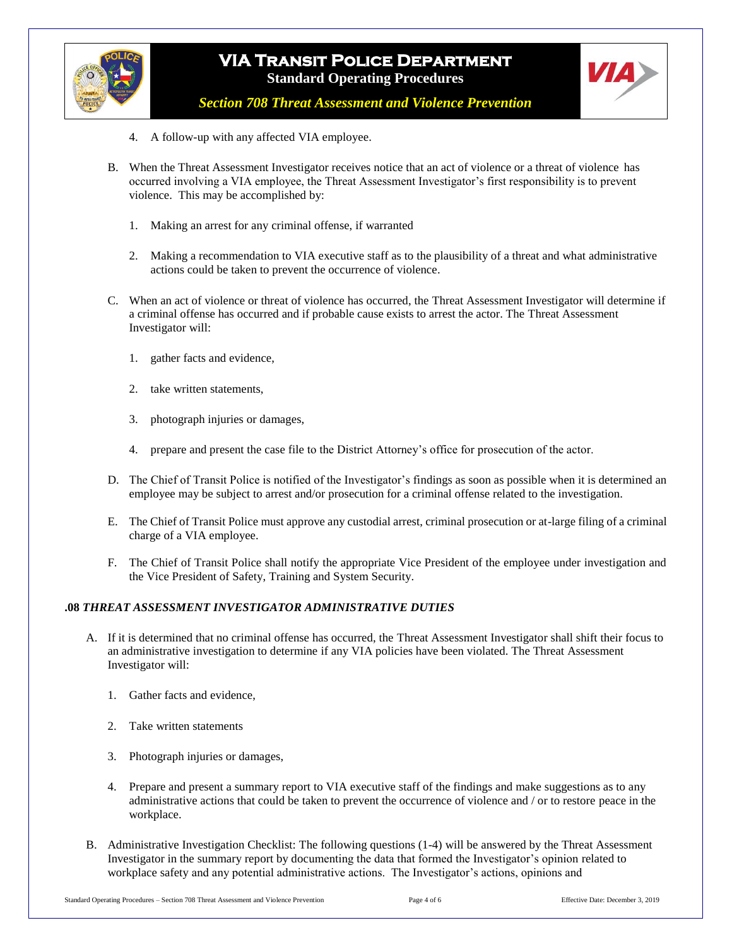



*Section 708 Threat Assessment and Violence Prevention*

- 4. A follow-up with any affected VIA employee.
- B. When the Threat Assessment Investigator receives notice that an act of violence or a threat of violence has occurred involving a VIA employee, the Threat Assessment Investigator's first responsibility is to prevent violence. This may be accomplished by:
	- 1. Making an arrest for any criminal offense, if warranted
	- 2. Making a recommendation to VIA executive staff as to the plausibility of a threat and what administrative actions could be taken to prevent the occurrence of violence.
- C. When an act of violence or threat of violence has occurred, the Threat Assessment Investigator will determine if a criminal offense has occurred and if probable cause exists to arrest the actor. The Threat Assessment Investigator will:
	- 1. gather facts and evidence,
	- 2. take written statements,
	- 3. photograph injuries or damages,
	- 4. prepare and present the case file to the District Attorney's office for prosecution of the actor.
- D. The Chief of Transit Police is notified of the Investigator's findings as soon as possible when it is determined an employee may be subject to arrest and/or prosecution for a criminal offense related to the investigation.
- E. The Chief of Transit Police must approve any custodial arrest, criminal prosecution or at-large filing of a criminal charge of a VIA employee.
- F. The Chief of Transit Police shall notify the appropriate Vice President of the employee under investigation and the Vice President of Safety, Training and System Security.

#### **.08** *THREAT ASSESSMENT INVESTIGATOR ADMINISTRATIVE DUTIES*

- A. If it is determined that no criminal offense has occurred, the Threat Assessment Investigator shall shift their focus to an administrative investigation to determine if any VIA policies have been violated. The Threat Assessment Investigator will:
	- 1. Gather facts and evidence,
	- 2. Take written statements
	- 3. Photograph injuries or damages,
	- 4. Prepare and present a summary report to VIA executive staff of the findings and make suggestions as to any administrative actions that could be taken to prevent the occurrence of violence and / or to restore peace in the workplace.
- B. Administrative Investigation Checklist: The following questions (1-4) will be answered by the Threat Assessment Investigator in the summary report by documenting the data that formed the Investigator's opinion related to workplace safety and any potential administrative actions. The Investigator's actions, opinions and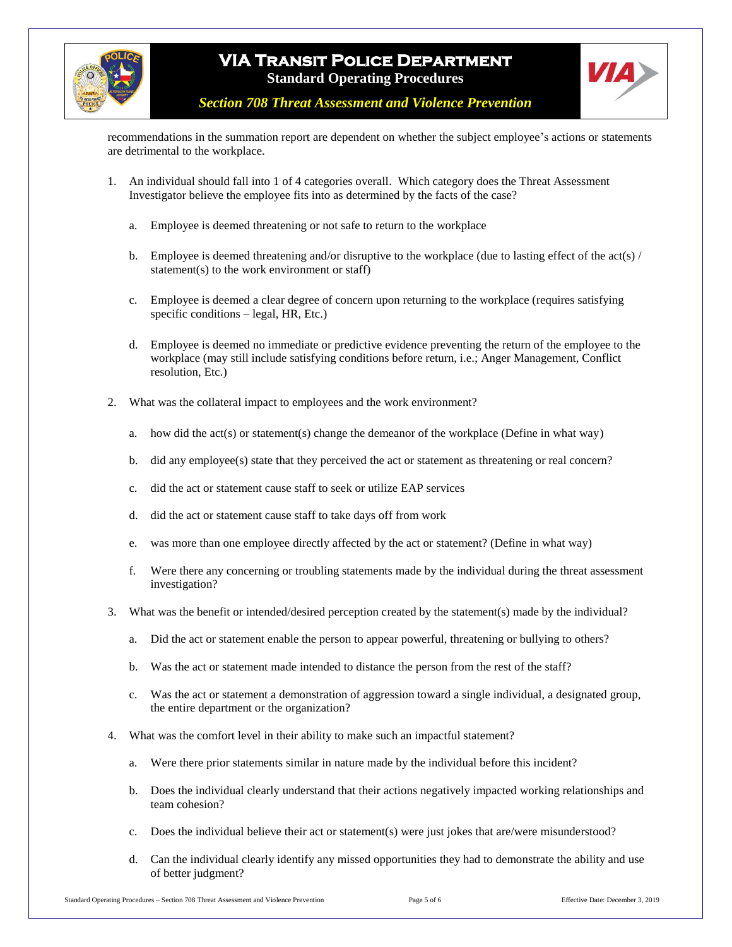



*Section 708 Threat Assessment and Violence Prevention*

recommendations in the summation report are dependent on whether the subject employee's actions or statements are detrimental to the workplace.

- 1. An individual should fall into 1 of 4 categories overall. Which category does the Threat Assessment Investigator believe the employee fits into as determined by the facts of the case?
	- a. Employee is deemed threatening or not safe to return to the workplace
	- b. Employee is deemed threatening and/or disruptive to the workplace (due to lasting effect of the act(s)  $/$ statement(s) to the work environment or staff)
	- c. Employee is deemed a clear degree of concern upon returning to the workplace (requires satisfying specific conditions – legal, HR, Etc.)
	- d. Employee is deemed no immediate or predictive evidence preventing the return of the employee to the workplace (may still include satisfying conditions before return, i.e.; Anger Management, Conflict resolution, Etc.)
- 2. What was the collateral impact to employees and the work environment?
	- a. how did the act(s) or statement(s) change the demeanor of the workplace (Define in what way)
	- b. did any employee(s) state that they perceived the act or statement as threatening or real concern?
	- c. did the act or statement cause staff to seek or utilize EAP services
	- d. did the act or statement cause staff to take days off from work
	- e. was more than one employee directly affected by the act or statement? (Define in what way)
	- f. Were there any concerning or troubling statements made by the individual during the threat assessment investigation?
- 3. What was the benefit or intended/desired perception created by the statement(s) made by the individual?
	- a. Did the act or statement enable the person to appear powerful, threatening or bullying to others?
	- b. Was the act or statement made intended to distance the person from the rest of the staff?
	- c. Was the act or statement a demonstration of aggression toward a single individual, a designated group, the entire department or the organization?
- 4. What was the comfort level in their ability to make such an impactful statement?
	- a. Were there prior statements similar in nature made by the individual before this incident?
	- b. Does the individual clearly understand that their actions negatively impacted working relationships and team cohesion?
	- c. Does the individual believe their act or statement(s) were just jokes that are/were misunderstood?
	- d. Can the individual clearly identify any missed opportunities they had to demonstrate the ability and use of better judgment?